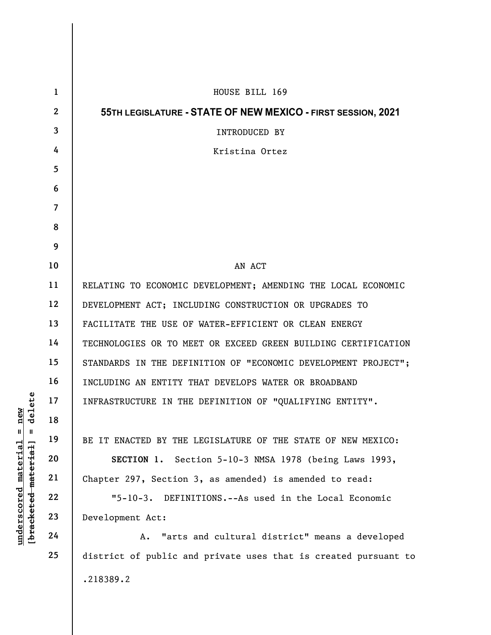|                                                                                                             | $\mathbf{1}$            | HOUSE BILL 169<br>55TH LEGISLATURE - STATE OF NEW MEXICO - FIRST SESSION, 2021<br>INTRODUCED BY |  |  |  |  |  |  |  |  |
|-------------------------------------------------------------------------------------------------------------|-------------------------|-------------------------------------------------------------------------------------------------|--|--|--|--|--|--|--|--|
|                                                                                                             | $\mathbf{2}$            |                                                                                                 |  |  |  |  |  |  |  |  |
|                                                                                                             | 3                       |                                                                                                 |  |  |  |  |  |  |  |  |
|                                                                                                             | 4                       | Kristina Ortez                                                                                  |  |  |  |  |  |  |  |  |
|                                                                                                             | 5                       |                                                                                                 |  |  |  |  |  |  |  |  |
|                                                                                                             | 6                       |                                                                                                 |  |  |  |  |  |  |  |  |
|                                                                                                             | $\overline{\mathbf{7}}$ |                                                                                                 |  |  |  |  |  |  |  |  |
|                                                                                                             | 8                       |                                                                                                 |  |  |  |  |  |  |  |  |
|                                                                                                             | 9                       |                                                                                                 |  |  |  |  |  |  |  |  |
| delete<br>new<br>$\blacksquare$<br>Ш<br>[ <del>bracketed material</del> ]<br><u>material</u><br>underscored | 10                      | AN ACT                                                                                          |  |  |  |  |  |  |  |  |
|                                                                                                             | 11                      | RELATING TO ECONOMIC DEVELOPMENT; AMENDING THE LOCAL ECONOMIC                                   |  |  |  |  |  |  |  |  |
|                                                                                                             | 12                      | DEVELOPMENT ACT; INCLUDING CONSTRUCTION OR UPGRADES TO                                          |  |  |  |  |  |  |  |  |
|                                                                                                             | 13                      | FACILITATE THE USE OF WATER-EFFICIENT OR CLEAN ENERGY                                           |  |  |  |  |  |  |  |  |
|                                                                                                             | 14                      | TECHNOLOGIES OR TO MEET OR EXCEED GREEN BUILDING CERTIFICATION                                  |  |  |  |  |  |  |  |  |
|                                                                                                             | 15                      | STANDARDS IN THE DEFINITION OF "ECONOMIC DEVELOPMENT PROJECT";                                  |  |  |  |  |  |  |  |  |
|                                                                                                             | 16                      | INCLUDING AN ENTITY THAT DEVELOPS WATER OR BROADBAND                                            |  |  |  |  |  |  |  |  |
|                                                                                                             | 17                      | INFRASTRUCTURE IN THE DEFINITION OF "QUALIFYING ENTITY".                                        |  |  |  |  |  |  |  |  |
|                                                                                                             | 18                      |                                                                                                 |  |  |  |  |  |  |  |  |
|                                                                                                             | 19                      | BE IT ENACTED BY THE LEGISLATURE OF THE STATE OF NEW MEXICO:                                    |  |  |  |  |  |  |  |  |
|                                                                                                             | 20                      | SECTION 1. Section 5-10-3 NMSA 1978 (being Laws 1993,                                           |  |  |  |  |  |  |  |  |
|                                                                                                             | 21                      | Chapter 297, Section 3, as amended) is amended to read:                                         |  |  |  |  |  |  |  |  |
|                                                                                                             | 22                      | "5-10-3. DEFINITIONS.--As used in the Local Economic                                            |  |  |  |  |  |  |  |  |
|                                                                                                             | 23                      | Development Act:                                                                                |  |  |  |  |  |  |  |  |
|                                                                                                             | 24                      | "arts and cultural district" means a developed<br>Α.                                            |  |  |  |  |  |  |  |  |
|                                                                                                             | 25                      | district of public and private uses that is created pursuant to                                 |  |  |  |  |  |  |  |  |
|                                                                                                             |                         | .218389.2                                                                                       |  |  |  |  |  |  |  |  |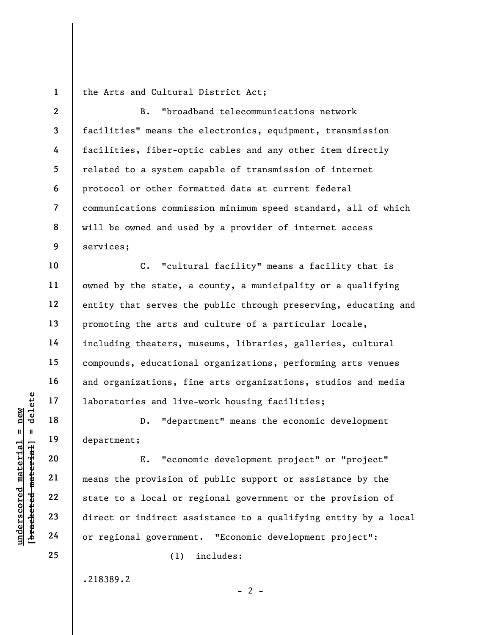1 the Arts and Cultural District Act;

2 3 7 8 9 B. "broadband telecommunications network facilities" means the electronics, equipment, transmission facilities, fiber-optic cables and any other item directly related to a system capable of transmission of internet protocol or other formatted data at current federal communications commission minimum speed standard, all of which will be owned and used by a provider of internet access services;

10 11 12 13 14 15 16 17 C. "cultural facility" means a facility that is owned by the state, a county, a municipality or a qualifying entity that serves the public through preserving, educating and promoting the arts and culture of a particular locale, including theaters, museums, libraries, galleries, cultural compounds, educational organizations, performing arts venues and organizations, fine arts organizations, studios and media laboratories and live-work housing facilities;

D. "department" means the economic development department;

understand live<br>  $\begin{array}{c|c|c} \mathbf{u} & \mathbf{u} & \mathbf{u} & \mathbf{u} \\ \hline \mathbf{u} & \mathbf{u} & \mathbf{u} & \mathbf{u} \\ \hline \mathbf{u} & \mathbf{u} & \mathbf{u} & \mathbf{u} \\ \hline \mathbf{u} & \mathbf{u} & \mathbf{u} & \mathbf{u} \\ \hline \mathbf{u} & \mathbf{u} & \mathbf{u} & \mathbf{u} \\ \hline \mathbf{u} & \mathbf{u} & \mathbf{u} & \mathbf{u} \\ \hline \mathbf{u} &$ E. "economic development project" or "project" means the provision of public support or assistance by the state to a local or regional government or the provision of direct or indirect assistance to a qualifying entity by a local or regional government. "Economic development project":

 $- 2 -$ 

(1) includes:

.218389.2

18

19

20

21

22

23

24

25

4

5

6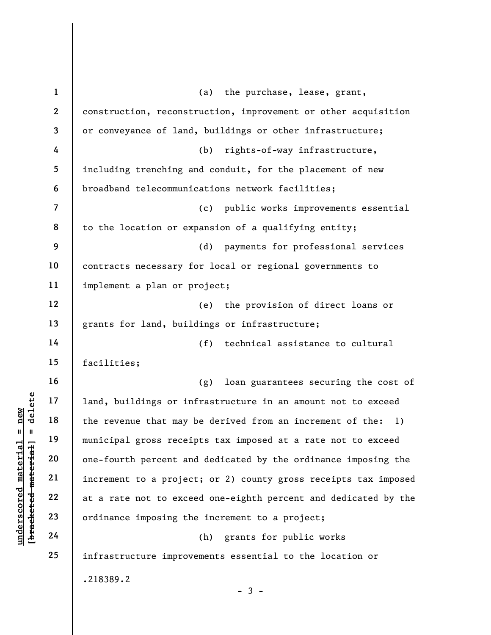|                                | $\mathbf 1$    | (a)<br>the purchase, lease, grant,                                                                                                                     |  |  |  |  |  |  |  |  |  |
|--------------------------------|----------------|--------------------------------------------------------------------------------------------------------------------------------------------------------|--|--|--|--|--|--|--|--|--|
|                                | $\mathbf{2}$   | construction, reconstruction, improvement or other acquisition<br>or conveyance of land, buildings or other infrastructure;                            |  |  |  |  |  |  |  |  |  |
|                                | 3              |                                                                                                                                                        |  |  |  |  |  |  |  |  |  |
|                                | 4              | rights-of-way infrastructure,<br>(b)                                                                                                                   |  |  |  |  |  |  |  |  |  |
|                                | 5              | including trenching and conduit, for the placement of new                                                                                              |  |  |  |  |  |  |  |  |  |
|                                | 6              | broadband telecommunications network facilities;<br>public works improvements essential<br>(c)<br>to the location or expansion of a qualifying entity; |  |  |  |  |  |  |  |  |  |
|                                | $\overline{7}$ |                                                                                                                                                        |  |  |  |  |  |  |  |  |  |
|                                | 8              |                                                                                                                                                        |  |  |  |  |  |  |  |  |  |
|                                | 9              | payments for professional services<br>(d)                                                                                                              |  |  |  |  |  |  |  |  |  |
|                                | 10             | contracts necessary for local or regional governments to<br>implement a plan or project;                                                               |  |  |  |  |  |  |  |  |  |
|                                | 11             |                                                                                                                                                        |  |  |  |  |  |  |  |  |  |
|                                | 12             | the provision of direct loans or<br>(e)                                                                                                                |  |  |  |  |  |  |  |  |  |
|                                | 13             | grants for land, buildings or infrastructure;                                                                                                          |  |  |  |  |  |  |  |  |  |
|                                | 14             | (f)<br>technical assistance to cultural                                                                                                                |  |  |  |  |  |  |  |  |  |
|                                | 15             | facilities;                                                                                                                                            |  |  |  |  |  |  |  |  |  |
|                                | 16             | loan guarantees securing the cost of<br>(g)                                                                                                            |  |  |  |  |  |  |  |  |  |
| delete                         | 17             | land, buildings or infrastructure in an amount not to exceed                                                                                           |  |  |  |  |  |  |  |  |  |
| new                            | 18             | the revenue that may be derived from an increment of the:<br>1)                                                                                        |  |  |  |  |  |  |  |  |  |
| Ш<br>- II                      | 19             | municipal gross receipts tax imposed at a rate not to exceed                                                                                           |  |  |  |  |  |  |  |  |  |
| materia<br>[bracketed material | 20             | one-fourth percent and dedicated by the ordinance imposing the                                                                                         |  |  |  |  |  |  |  |  |  |
|                                | 21             | increment to a project; or 2) county gross receipts tax imposed                                                                                        |  |  |  |  |  |  |  |  |  |
| underscored                    | 22             | at a rate not to exceed one-eighth percent and dedicated by the                                                                                        |  |  |  |  |  |  |  |  |  |
|                                | 23             | ordinance imposing the increment to a project;                                                                                                         |  |  |  |  |  |  |  |  |  |
|                                | 24             | grants for public works<br>(h)                                                                                                                         |  |  |  |  |  |  |  |  |  |
|                                | 25             | infrastructure improvements essential to the location or                                                                                               |  |  |  |  |  |  |  |  |  |
|                                |                | .218389.2                                                                                                                                              |  |  |  |  |  |  |  |  |  |
|                                |                | $-3 -$                                                                                                                                                 |  |  |  |  |  |  |  |  |  |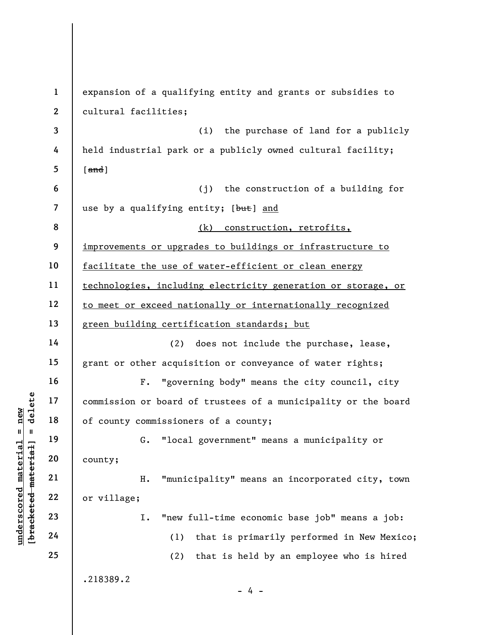underscore of the same of the same of the same of the same of the same of the same of the same of the same of the same of the same of the same of the same of the same of the same of the same of the same of the same of the 1 2 3 4 5 6 7 8 9 10 11 12 13 14 15 16 17 18 19 20 21 22 23 24 25 expansion of a qualifying entity and grants or subsidies to cultural facilities; (i) the purchase of land for a publicly held industrial park or a publicly owned cultural facility;  $[$  and  $]$ (j) the construction of a building for use by a qualifying entity; [but] and (k) construction, retrofits, improvements or upgrades to buildings or infrastructure to facilitate the use of water-efficient or clean energy technologies, including electricity generation or storage, or to meet or exceed nationally or internationally recognized green building certification standards; but (2) does not include the purchase, lease, grant or other acquisition or conveyance of water rights; F. "governing body" means the city council, city commission or board of trustees of a municipality or the board of county commissioners of a county; G. "local government" means a municipality or county; H. "municipality" means an incorporated city, town or village; I. "new full-time economic base job" means a job: (1) that is primarily performed in New Mexico; (2) that is held by an employee who is hired .218389.2  $- 4 -$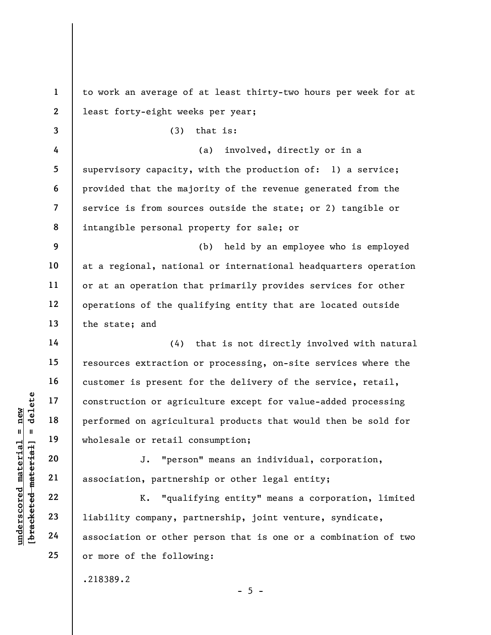underscored material = new [bracketed material] = delete 1 2 3 4 5 6 7 8 9 10 11 12 13 14 15 16 17 18 19 20 21 22 23 24 25 to work an average of at least thirty-two hours per week for at least forty-eight weeks per year; (3) that is: (a) involved, directly or in a supervisory capacity, with the production of: 1) a service; provided that the majority of the revenue generated from the service is from sources outside the state; or 2) tangible or intangible personal property for sale; or (b) held by an employee who is employed at a regional, national or international headquarters operation or at an operation that primarily provides services for other operations of the qualifying entity that are located outside the state; and (4) that is not directly involved with natural resources extraction or processing, on-site services where the customer is present for the delivery of the service, retail, construction or agriculture except for value-added processing performed on agricultural products that would then be sold for wholesale or retail consumption; J. "person" means an individual, corporation, association, partnership or other legal entity; K. "qualifying entity" means a corporation, limited liability company, partnership, joint venture, syndicate, association or other person that is one or a combination of two or more of the following:

 $- 5 -$ 

.218389.2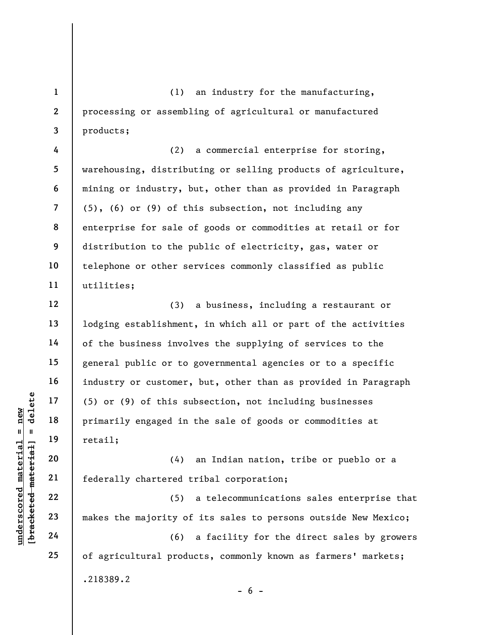(1) an industry for the manufacturing, processing or assembling of agricultural or manufactured products;

8 (2) a commercial enterprise for storing, warehousing, distributing or selling products of agriculture, mining or industry, but, other than as provided in Paragraph (5), (6) or (9) of this subsection, not including any enterprise for sale of goods or commodities at retail or for distribution to the public of electricity, gas, water or telephone or other services commonly classified as public utilities;

underscored material = new [bracketed material] = delete (3) a business, including a restaurant or lodging establishment, in which all or part of the activities of the business involves the supplying of services to the general public or to governmental agencies or to a specific industry or customer, but, other than as provided in Paragraph (5) or (9) of this subsection, not including businesses primarily engaged in the sale of goods or commodities at retail;

(4) an Indian nation, tribe or pueblo or a federally chartered tribal corporation;

(5) a telecommunications sales enterprise that makes the majority of its sales to persons outside New Mexico;

(6) a facility for the direct sales by growers of agricultural products, commonly known as farmers' markets; .218389.2  $- 6 -$ 

1

2

3

4

5

6

7

9

10

11

12

13

14

15

16

17

18

19

20

21

22

23

24

25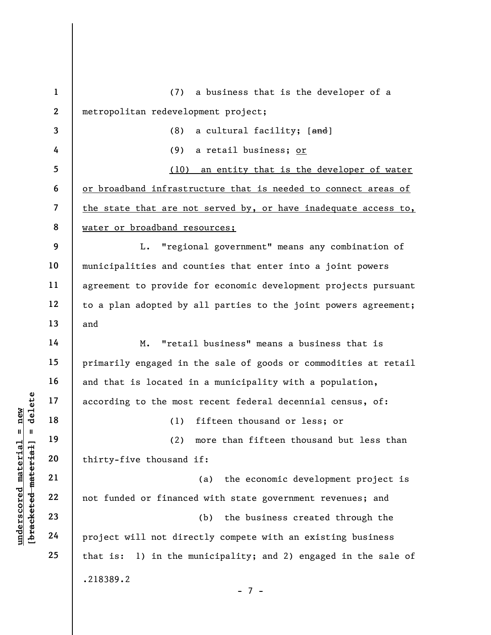understand material material and the most<br>  $\begin{bmatrix}\n1 & 1 & 1 & 1 \\
0 & 1 & 1 & 9 \\
0 & 0 & 0 & 0 \\
0 & 0 & 0 & 0 \\
0 & 0 & 0 & 0 \\
0 & 0 & 0 & 0 \\
0 & 0 & 0 & 0 \\
0 & 0 & 0 & 0 \\
0 & 0 & 0 & 0 \\
0 & 0 & 0 & 0 \\
0 & 0 & 0 & 0 \\
0 & 0 & 0 & 0 \\
0 & 0 & 0 & 0 \\
0 & 0 & 0 & 0 \\
0 & 0 & 0 & 0 \\
0 & 0 &$ 1 2 3 4 5 6 7 8 9 10 11 12 13 14 15 16 17 18 19 20 21 22 23 24 25 (7) a business that is the developer of a metropolitan redevelopment project; (8) a cultural facility;  $[\text{and}]$ (9) a retail business; or (10) an entity that is the developer of water or broadband infrastructure that is needed to connect areas of the state that are not served by, or have inadequate access to, water or broadband resources; L. "regional government" means any combination of municipalities and counties that enter into a joint powers agreement to provide for economic development projects pursuant to a plan adopted by all parties to the joint powers agreement; and M. "retail business" means a business that is primarily engaged in the sale of goods or commodities at retail and that is located in a municipality with a population, according to the most recent federal decennial census, of: (1) fifteen thousand or less; or (2) more than fifteen thousand but less than thirty-five thousand if: (a) the economic development project is not funded or financed with state government revenues; and (b) the business created through the project will not directly compete with an existing business that is: 1) in the municipality; and 2) engaged in the sale of .218389.2 - 7 -